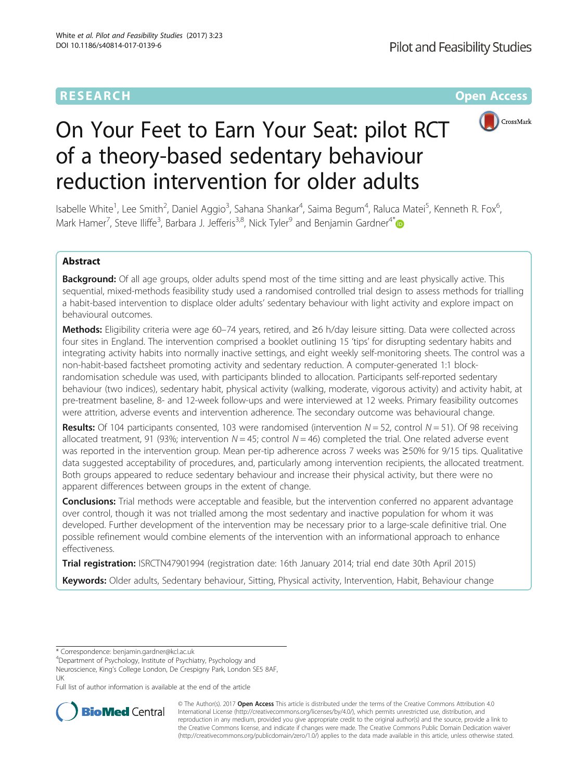# **RESEARCH CHEAR CHEAR CHEAR CHEAR CHEAR CHEAR CHEAR CHEAR CHEAR CHEAR CHEAR CHEAR CHEAR CHEAR CHEAR CHEAR CHEAR**



# On Your Feet to Earn Your Seat: pilot RCT of a theory-based sedentary behaviour reduction intervention for older adults

Isabelle White<sup>1</sup>, Lee Smith<sup>2</sup>, Daniel Aggio<sup>3</sup>, Sahana Shankar<sup>4</sup>, Saima Begum<sup>4</sup>, Raluca Matei<sup>5</sup>, Kenneth R. Fox<sup>6</sup> , Mark Hamer<sup>7</sup>, Steve Iliffe<sup>3</sup>, Barbara J. Jefferis<sup>3,8</sup>, Nick Tyler<sup>9</sup> and Benjamin Gardner<sup>4\*</sup>

# Abstract

Background: Of all age groups, older adults spend most of the time sitting and are least physically active. This sequential, mixed-methods feasibility study used a randomised controlled trial design to assess methods for trialling a habit-based intervention to displace older adults' sedentary behaviour with light activity and explore impact on behavioural outcomes.

Methods: Eligibility criteria were age 60–74 years, retired, and ≥6 h/day leisure sitting. Data were collected across four sites in England. The intervention comprised a booklet outlining 15 'tips' for disrupting sedentary habits and integrating activity habits into normally inactive settings, and eight weekly self-monitoring sheets. The control was a non-habit-based factsheet promoting activity and sedentary reduction. A computer-generated 1:1 blockrandomisation schedule was used, with participants blinded to allocation. Participants self-reported sedentary behaviour (two indices), sedentary habit, physical activity (walking, moderate, vigorous activity) and activity habit, at pre-treatment baseline, 8- and 12-week follow-ups and were interviewed at 12 weeks. Primary feasibility outcomes were attrition, adverse events and intervention adherence. The secondary outcome was behavioural change.

**Results:** Of 104 participants consented, 103 were randomised (intervention  $N = 52$ , control  $N = 51$ ). Of 98 receiving allocated treatment, 91 (93%; intervention  $N = 45$ ; control  $N = 46$ ) completed the trial. One related adverse event was reported in the intervention group. Mean per-tip adherence across 7 weeks was ≥50% for 9/15 tips. Qualitative data suggested acceptability of procedures, and, particularly among intervention recipients, the allocated treatment. Both groups appeared to reduce sedentary behaviour and increase their physical activity, but there were no apparent differences between groups in the extent of change.

**Conclusions:** Trial methods were acceptable and feasible, but the intervention conferred no apparent advantage over control, though it was not trialled among the most sedentary and inactive population for whom it was developed. Further development of the intervention may be necessary prior to a large-scale definitive trial. One possible refinement would combine elements of the intervention with an informational approach to enhance effectiveness.

Trial registration: [ISRCTN47901994](http://www.isrctn.com/ISRCTN47901994) (registration date: 16th January 2014; trial end date 30th April 2015)

Keywords: Older adults, Sedentary behaviour, Sitting, Physical activity, Intervention, Habit, Behaviour change

\* Correspondence: [benjamin.gardner@kcl.ac.uk](mailto:benjamin.gardner@kcl.ac.uk) <sup>4</sup>

<sup>4</sup>Department of Psychology, Institute of Psychiatry, Psychology and

Neuroscience, King's College London, De Crespigny Park, London SE5 8AF, UK

Full list of author information is available at the end of the article



© The Author(s). 2017 **Open Access** This article is distributed under the terms of the Creative Commons Attribution 4.0 International License [\(http://creativecommons.org/licenses/by/4.0/](http://creativecommons.org/licenses/by/4.0/)), which permits unrestricted use, distribution, and reproduction in any medium, provided you give appropriate credit to the original author(s) and the source, provide a link to the Creative Commons license, and indicate if changes were made. The Creative Commons Public Domain Dedication waiver [\(http://creativecommons.org/publicdomain/zero/1.0/](http://creativecommons.org/publicdomain/zero/1.0/)) applies to the data made available in this article, unless otherwise stated.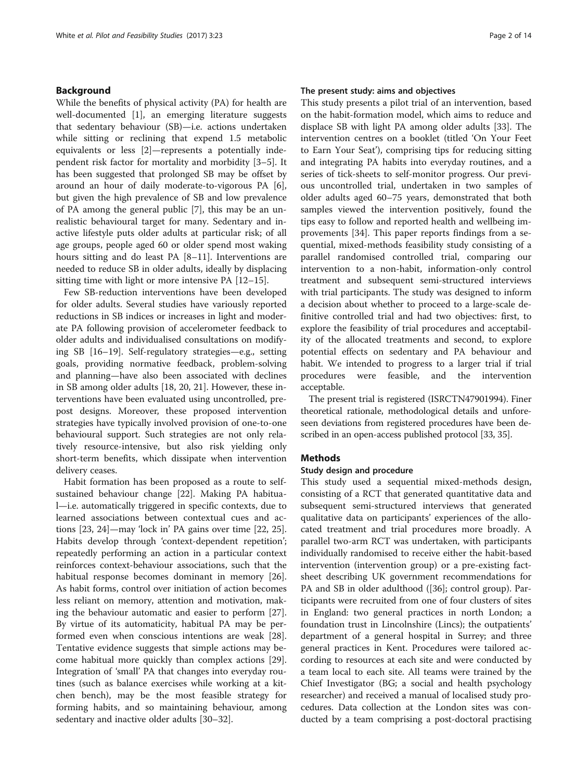# Background

While the benefits of physical activity (PA) for health are well-documented [[1\]](#page-12-0), an emerging literature suggests that sedentary behaviour (SB)—i.e. actions undertaken while sitting or reclining that expend 1.5 metabolic equivalents or less [[2\]](#page-12-0)—represents a potentially independent risk factor for mortality and morbidity [[3](#page-12-0)–[5](#page-12-0)]. It has been suggested that prolonged SB may be offset by around an hour of daily moderate-to-vigorous PA [\[6](#page-12-0)], but given the high prevalence of SB and low prevalence of PA among the general public [[7\]](#page-12-0), this may be an unrealistic behavioural target for many. Sedentary and inactive lifestyle puts older adults at particular risk; of all age groups, people aged 60 or older spend most waking hours sitting and do least PA [\[8](#page-12-0)–[11\]](#page-12-0). Interventions are needed to reduce SB in older adults, ideally by displacing sitting time with light or more intensive PA [[12](#page-12-0)–[15](#page-12-0)].

Few SB-reduction interventions have been developed for older adults. Several studies have variously reported reductions in SB indices or increases in light and moderate PA following provision of accelerometer feedback to older adults and individualised consultations on modifying SB [\[16](#page-12-0)–[19\]](#page-12-0). Self-regulatory strategies—e.g., setting goals, providing normative feedback, problem-solving and planning—have also been associated with declines in SB among older adults [\[18](#page-12-0), [20](#page-12-0), [21\]](#page-12-0). However, these interventions have been evaluated using uncontrolled, prepost designs. Moreover, these proposed intervention strategies have typically involved provision of one-to-one behavioural support. Such strategies are not only relatively resource-intensive, but also risk yielding only short-term benefits, which dissipate when intervention delivery ceases.

Habit formation has been proposed as a route to selfsustained behaviour change [[22](#page-12-0)]. Making PA habitual—i.e. automatically triggered in specific contexts, due to learned associations between contextual cues and actions [\[23, 24](#page-12-0)]—may 'lock in' PA gains over time [\[22](#page-12-0), [25](#page-12-0)]. Habits develop through 'context-dependent repetition'; repeatedly performing an action in a particular context reinforces context-behaviour associations, such that the habitual response becomes dominant in memory [\[26](#page-12-0)]. As habit forms, control over initiation of action becomes less reliant on memory, attention and motivation, making the behaviour automatic and easier to perform [\[27](#page-12-0)]. By virtue of its automaticity, habitual PA may be performed even when conscious intentions are weak [\[28](#page-12-0)]. Tentative evidence suggests that simple actions may become habitual more quickly than complex actions [\[29](#page-12-0)]. Integration of 'small' PA that changes into everyday routines (such as balance exercises while working at a kitchen bench), may be the most feasible strategy for forming habits, and so maintaining behaviour, among sedentary and inactive older adults [\[30](#page-12-0)–[32\]](#page-12-0).

# The present study: aims and objectives

This study presents a pilot trial of an intervention, based on the habit-formation model, which aims to reduce and displace SB with light PA among older adults [\[33](#page-12-0)]. The intervention centres on a booklet (titled 'On Your Feet to Earn Your Seat'), comprising tips for reducing sitting and integrating PA habits into everyday routines, and a series of tick-sheets to self-monitor progress. Our previous uncontrolled trial, undertaken in two samples of older adults aged 60–75 years, demonstrated that both samples viewed the intervention positively, found the tips easy to follow and reported health and wellbeing improvements [\[34](#page-12-0)]. This paper reports findings from a sequential, mixed-methods feasibility study consisting of a parallel randomised controlled trial, comparing our intervention to a non-habit, information-only control treatment and subsequent semi-structured interviews with trial participants. The study was designed to inform a decision about whether to proceed to a large-scale definitive controlled trial and had two objectives: first, to explore the feasibility of trial procedures and acceptability of the allocated treatments and second, to explore potential effects on sedentary and PA behaviour and habit. We intended to progress to a larger trial if trial procedures were feasible, and the intervention acceptable.

The present trial is registered (ISRCTN47901994). Finer theoretical rationale, methodological details and unforeseen deviations from registered procedures have been described in an open-access published protocol [[33](#page-12-0), [35\]](#page-12-0).

# Methods

# Study design and procedure

This study used a sequential mixed-methods design, consisting of a RCT that generated quantitative data and subsequent semi-structured interviews that generated qualitative data on participants' experiences of the allocated treatment and trial procedures more broadly. A parallel two-arm RCT was undertaken, with participants individually randomised to receive either the habit-based intervention (intervention group) or a pre-existing factsheet describing UK government recommendations for PA and SB in older adulthood ([\[36\]](#page-12-0); control group). Participants were recruited from one of four clusters of sites in England: two general practices in north London; a foundation trust in Lincolnshire (Lincs); the outpatients' department of a general hospital in Surrey; and three general practices in Kent. Procedures were tailored according to resources at each site and were conducted by a team local to each site. All teams were trained by the Chief Investigator (BG; a social and health psychology researcher) and received a manual of localised study procedures. Data collection at the London sites was conducted by a team comprising a post-doctoral practising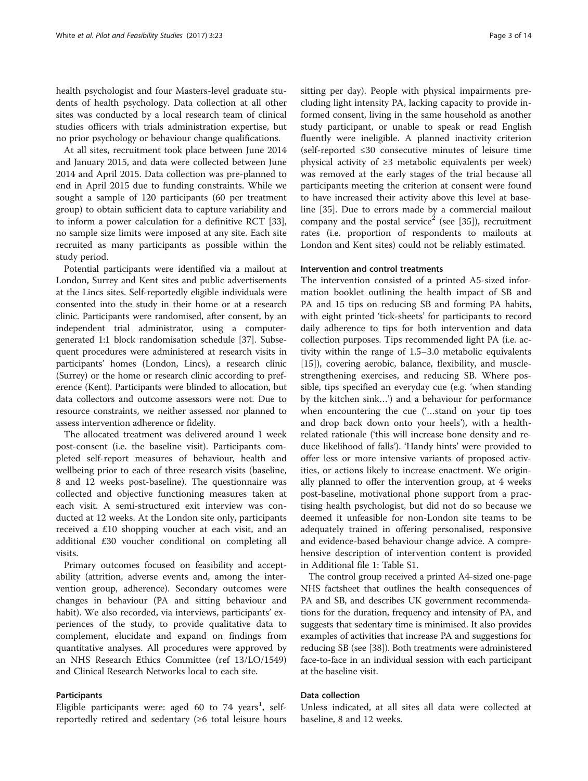health psychologist and four Masters-level graduate students of health psychology. Data collection at all other sites was conducted by a local research team of clinical studies officers with trials administration expertise, but no prior psychology or behaviour change qualifications.

At all sites, recruitment took place between June 2014 and January 2015, and data were collected between June 2014 and April 2015. Data collection was pre-planned to end in April 2015 due to funding constraints. While we sought a sample of 120 participants (60 per treatment group) to obtain sufficient data to capture variability and to inform a power calculation for a definitive RCT [\[33](#page-12-0)], no sample size limits were imposed at any site. Each site recruited as many participants as possible within the study period.

Potential participants were identified via a mailout at London, Surrey and Kent sites and public advertisements at the Lincs sites. Self-reportedly eligible individuals were consented into the study in their home or at a research clinic. Participants were randomised, after consent, by an independent trial administrator, using a computergenerated 1:1 block randomisation schedule [\[37\]](#page-12-0). Subsequent procedures were administered at research visits in participants' homes (London, Lincs), a research clinic (Surrey) or the home or research clinic according to preference (Kent). Participants were blinded to allocation, but data collectors and outcome assessors were not. Due to resource constraints, we neither assessed nor planned to assess intervention adherence or fidelity.

The allocated treatment was delivered around 1 week post-consent (i.e. the baseline visit). Participants completed self-report measures of behaviour, health and wellbeing prior to each of three research visits (baseline, 8 and 12 weeks post-baseline). The questionnaire was collected and objective functioning measures taken at each visit. A semi-structured exit interview was conducted at 12 weeks. At the London site only, participants received a £10 shopping voucher at each visit, and an additional £30 voucher conditional on completing all visits.

Primary outcomes focused on feasibility and acceptability (attrition, adverse events and, among the intervention group, adherence). Secondary outcomes were changes in behaviour (PA and sitting behaviour and habit). We also recorded, via interviews, participants' experiences of the study, to provide qualitative data to complement, elucidate and expand on findings from quantitative analyses. All procedures were approved by an NHS Research Ethics Committee (ref 13/LO/1549) and Clinical Research Networks local to each site.

# Participants

Eligible participants were: aged 60 to 74 years<sup>1</sup>, selfreportedly retired and sedentary (≥6 total leisure hours sitting per day). People with physical impairments precluding light intensity PA, lacking capacity to provide informed consent, living in the same household as another study participant, or unable to speak or read English fluently were ineligible. A planned inactivity criterion (self-reported ≤30 consecutive minutes of leisure time physical activity of ≥3 metabolic equivalents per week) was removed at the early stages of the trial because all participants meeting the criterion at consent were found to have increased their activity above this level at baseline [[35\]](#page-12-0). Due to errors made by a commercial mailout company and the postal service<sup>2</sup> (see [[35\]](#page-12-0)), recruitment rates (i.e. proportion of respondents to mailouts at London and Kent sites) could not be reliably estimated.

# Intervention and control treatments

The intervention consisted of a printed A5-sized information booklet outlining the health impact of SB and PA and 15 tips on reducing SB and forming PA habits, with eight printed 'tick-sheets' for participants to record daily adherence to tips for both intervention and data collection purposes. Tips recommended light PA (i.e. activity within the range of 1.5–3.0 metabolic equivalents [[15\]](#page-12-0)), covering aerobic, balance, flexibility, and musclestrengthening exercises, and reducing SB. Where possible, tips specified an everyday cue (e.g. 'when standing by the kitchen sink…') and a behaviour for performance when encountering the cue ('…stand on your tip toes and drop back down onto your heels'), with a healthrelated rationale ('this will increase bone density and reduce likelihood of falls'). 'Handy hints' were provided to offer less or more intensive variants of proposed activities, or actions likely to increase enactment. We originally planned to offer the intervention group, at 4 weeks post-baseline, motivational phone support from a practising health psychologist, but did not do so because we deemed it unfeasible for non-London site teams to be adequately trained in offering personalised, responsive and evidence-based behaviour change advice. A comprehensive description of intervention content is provided in Additional file [1:](#page-11-0) Table S1.

The control group received a printed A4-sized one-page NHS factsheet that outlines the health consequences of PA and SB, and describes UK government recommendations for the duration, frequency and intensity of PA, and suggests that sedentary time is minimised. It also provides examples of activities that increase PA and suggestions for reducing SB (see [[38\]](#page-12-0)). Both treatments were administered face-to-face in an individual session with each participant at the baseline visit.

# Data collection

Unless indicated, at all sites all data were collected at baseline, 8 and 12 weeks.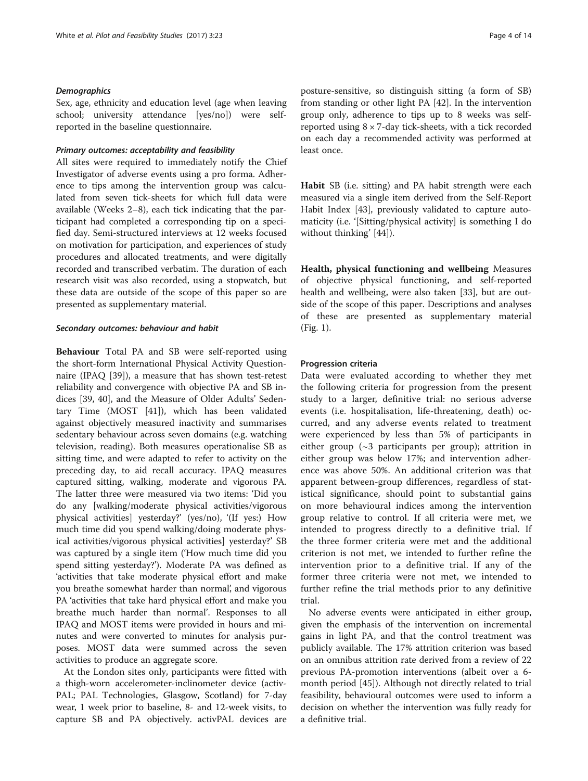# **Demographics**

Sex, age, ethnicity and education level (age when leaving school; university attendance [yes/no]) were selfreported in the baseline questionnaire.

## Primary outcomes: acceptability and feasibility

All sites were required to immediately notify the Chief Investigator of adverse events using a pro forma. Adherence to tips among the intervention group was calculated from seven tick-sheets for which full data were available (Weeks 2–8), each tick indicating that the participant had completed a corresponding tip on a specified day. Semi-structured interviews at 12 weeks focused on motivation for participation, and experiences of study procedures and allocated treatments, and were digitally recorded and transcribed verbatim. The duration of each research visit was also recorded, using a stopwatch, but these data are outside of the scope of this paper so are presented as supplementary material.

#### Secondary outcomes: behaviour and habit

Behaviour Total PA and SB were self-reported using the short-form International Physical Activity Questionnaire (IPAQ [[39\]](#page-12-0)), a measure that has shown test-retest reliability and convergence with objective PA and SB indices [[39, 40](#page-12-0)], and the Measure of Older Adults' Sedentary Time (MOST [\[41\]](#page-12-0)), which has been validated against objectively measured inactivity and summarises sedentary behaviour across seven domains (e.g. watching television, reading). Both measures operationalise SB as sitting time, and were adapted to refer to activity on the preceding day, to aid recall accuracy. IPAQ measures captured sitting, walking, moderate and vigorous PA. The latter three were measured via two items: 'Did you do any [walking/moderate physical activities/vigorous physical activities] yesterday?' (yes/no), '(If yes:) How much time did you spend walking/doing moderate physical activities/vigorous physical activities] yesterday?' SB was captured by a single item ('How much time did you spend sitting yesterday?'). Moderate PA was defined as 'activities that take moderate physical effort and make you breathe somewhat harder than normal', and vigorous PA 'activities that take hard physical effort and make you breathe much harder than normal'. Responses to all IPAQ and MOST items were provided in hours and minutes and were converted to minutes for analysis purposes. MOST data were summed across the seven activities to produce an aggregate score.

At the London sites only, participants were fitted with a thigh-worn accelerometer-inclinometer device (activ-PAL; PAL Technologies, Glasgow, Scotland) for 7-day wear, 1 week prior to baseline, 8- and 12-week visits, to capture SB and PA objectively. activPAL devices are posture-sensitive, so distinguish sitting (a form of SB) from standing or other light PA [\[42\]](#page-12-0). In the intervention group only, adherence to tips up to 8 weeks was selfreported using  $8 \times 7$ -day tick-sheets, with a tick recorded on each day a recommended activity was performed at least once.

Habit SB (i.e. sitting) and PA habit strength were each measured via a single item derived from the Self-Report Habit Index [[43\]](#page-12-0), previously validated to capture automaticity (i.e. '[Sitting/physical activity] is something I do without thinking' [\[44](#page-12-0)]).

Health, physical functioning and wellbeing Measures of objective physical functioning, and self-reported health and wellbeing, were also taken [\[33\]](#page-12-0), but are outside of the scope of this paper. Descriptions and analyses of these are presented as supplementary material (Fig. [1](#page-4-0)).

# Progression criteria

Data were evaluated according to whether they met the following criteria for progression from the present study to a larger, definitive trial: no serious adverse events (i.e. hospitalisation, life-threatening, death) occurred, and any adverse events related to treatment were experienced by less than 5% of participants in either group  $({\sim}3$  participants per group); attrition in either group was below 17%; and intervention adherence was above 50%. An additional criterion was that apparent between-group differences, regardless of statistical significance, should point to substantial gains on more behavioural indices among the intervention group relative to control. If all criteria were met, we intended to progress directly to a definitive trial. If the three former criteria were met and the additional criterion is not met, we intended to further refine the intervention prior to a definitive trial. If any of the former three criteria were not met, we intended to further refine the trial methods prior to any definitive trial.

No adverse events were anticipated in either group, given the emphasis of the intervention on incremental gains in light PA, and that the control treatment was publicly available. The 17% attrition criterion was based on an omnibus attrition rate derived from a review of 22 previous PA-promotion interventions (albeit over a 6 month period [\[45](#page-13-0)]). Although not directly related to trial feasibility, behavioural outcomes were used to inform a decision on whether the intervention was fully ready for a definitive trial.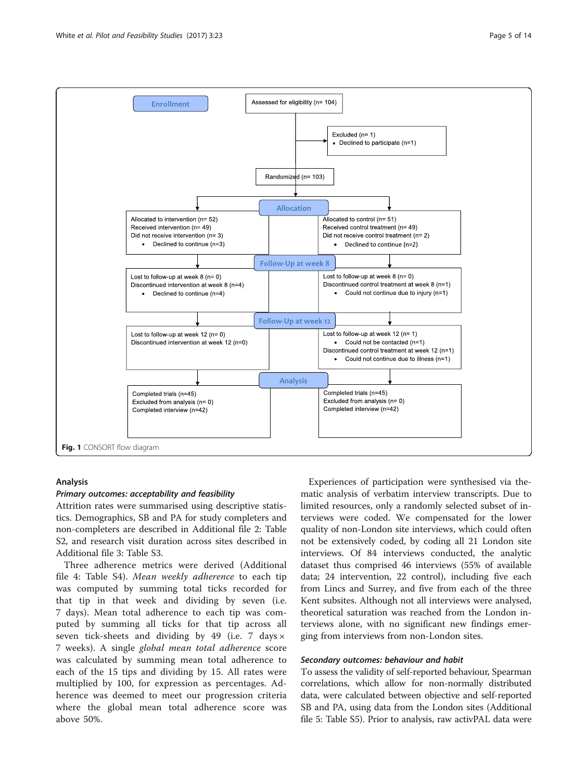<span id="page-4-0"></span>

# Analysis

## Primary outcomes: acceptability and feasibility

Attrition rates were summarised using descriptive statistics. Demographics, SB and PA for study completers and non-completers are described in Additional file [2:](#page-11-0) Table S2, and research visit duration across sites described in Additional file [3:](#page-11-0) Table S3.

Three adherence metrics were derived (Additional file [4](#page-11-0): Table S4). Mean weekly adherence to each tip was computed by summing total ticks recorded for that tip in that week and dividing by seven (i.e. 7 days). Mean total adherence to each tip was computed by summing all ticks for that tip across all seven tick-sheets and dividing by 49 (i.e.  $7 \text{ days} \times$ 7 weeks). A single global mean total adherence score was calculated by summing mean total adherence to each of the 15 tips and dividing by 15. All rates were multiplied by 100, for expression as percentages. Adherence was deemed to meet our progression criteria where the global mean total adherence score was above 50%.

Experiences of participation were synthesised via thematic analysis of verbatim interview transcripts. Due to limited resources, only a randomly selected subset of interviews were coded. We compensated for the lower quality of non-London site interviews, which could often not be extensively coded, by coding all 21 London site interviews. Of 84 interviews conducted, the analytic dataset thus comprised 46 interviews (55% of available data; 24 intervention, 22 control), including five each from Lincs and Surrey, and five from each of the three Kent subsites. Although not all interviews were analysed, theoretical saturation was reached from the London interviews alone, with no significant new findings emerging from interviews from non-London sites.

# Secondary outcomes: behaviour and habit

To assess the validity of self-reported behaviour, Spearman correlations, which allow for non-normally distributed data, were calculated between objective and self-reported SB and PA, using data from the London sites (Additional file [5:](#page-11-0) Table S5). Prior to analysis, raw activPAL data were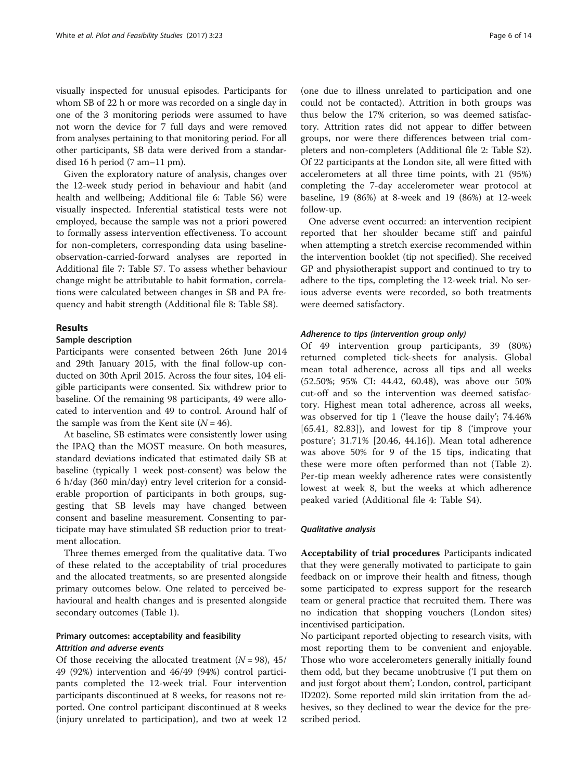visually inspected for unusual episodes. Participants for whom SB of 22 h or more was recorded on a single day in one of the 3 monitoring periods were assumed to have not worn the device for 7 full days and were removed from analyses pertaining to that monitoring period. For all other participants, SB data were derived from a standardised 16 h period (7 am–11 pm).

Given the exploratory nature of analysis, changes over the 12-week study period in behaviour and habit (and health and wellbeing; Additional file [6](#page-11-0): Table S6) were visually inspected. Inferential statistical tests were not employed, because the sample was not a priori powered to formally assess intervention effectiveness. To account for non-completers, corresponding data using baselineobservation-carried-forward analyses are reported in Additional file [7](#page-11-0): Table S7. To assess whether behaviour change might be attributable to habit formation, correlations were calculated between changes in SB and PA frequency and habit strength (Additional file [8](#page-11-0): Table S8).

# Results

# Sample description

Participants were consented between 26th June 2014 and 29th January 2015, with the final follow-up conducted on 30th April 2015. Across the four sites, 104 eligible participants were consented. Six withdrew prior to baseline. Of the remaining 98 participants, 49 were allocated to intervention and 49 to control. Around half of the sample was from the Kent site  $(N = 46)$ .

At baseline, SB estimates were consistently lower using the IPAQ than the MOST measure. On both measures, standard deviations indicated that estimated daily SB at baseline (typically 1 week post-consent) was below the 6 h/day (360 min/day) entry level criterion for a considerable proportion of participants in both groups, suggesting that SB levels may have changed between consent and baseline measurement. Consenting to participate may have stimulated SB reduction prior to treatment allocation.

Three themes emerged from the qualitative data. Two of these related to the acceptability of trial procedures and the allocated treatments, so are presented alongside primary outcomes below. One related to perceived behavioural and health changes and is presented alongside secondary outcomes (Table [1](#page-6-0)).

# Primary outcomes: acceptability and feasibility Attrition and adverse events

Of those receiving the allocated treatment  $(N = 98)$ , 45/ 49 (92%) intervention and 46/49 (94%) control participants completed the 12-week trial. Four intervention participants discontinued at 8 weeks, for reasons not reported. One control participant discontinued at 8 weeks (injury unrelated to participation), and two at week 12

(one due to illness unrelated to participation and one could not be contacted). Attrition in both groups was thus below the 17% criterion, so was deemed satisfactory. Attrition rates did not appear to differ between groups, nor were there differences between trial completers and non-completers (Additional file [2](#page-11-0): Table S2). Of 22 participants at the London site, all were fitted with accelerometers at all three time points, with 21 (95%) completing the 7-day accelerometer wear protocol at baseline, 19 (86%) at 8-week and 19 (86%) at 12-week follow-up.

One adverse event occurred: an intervention recipient reported that her shoulder became stiff and painful when attempting a stretch exercise recommended within the intervention booklet (tip not specified). She received GP and physiotherapist support and continued to try to adhere to the tips, completing the 12-week trial. No serious adverse events were recorded, so both treatments were deemed satisfactory.

# Adherence to tips (intervention group only)

Of 49 intervention group participants, 39 (80%) returned completed tick-sheets for analysis. Global mean total adherence, across all tips and all weeks (52.50%; 95% CI: 44.42, 60.48), was above our 50% cut-off and so the intervention was deemed satisfactory. Highest mean total adherence, across all weeks, was observed for tip 1 ('leave the house daily'; 74.46% [65.41, 82.83]), and lowest for tip 8 ('improve your posture'; 31.71% [20.46, 44.16]). Mean total adherence was above 50% for 9 of the 15 tips, indicating that these were more often performed than not (Table [2](#page-7-0)). Per-tip mean weekly adherence rates were consistently lowest at week 8, but the weeks at which adherence peaked varied (Additional file [4:](#page-11-0) Table S4).

# Qualitative analysis

Acceptability of trial procedures Participants indicated that they were generally motivated to participate to gain feedback on or improve their health and fitness, though some participated to express support for the research team or general practice that recruited them. There was no indication that shopping vouchers (London sites) incentivised participation.

No participant reported objecting to research visits, with most reporting them to be convenient and enjoyable. Those who wore accelerometers generally initially found them odd, but they became unobtrusive ('I put them on and just forgot about them'; London, control, participant ID202). Some reported mild skin irritation from the adhesives, so they declined to wear the device for the prescribed period.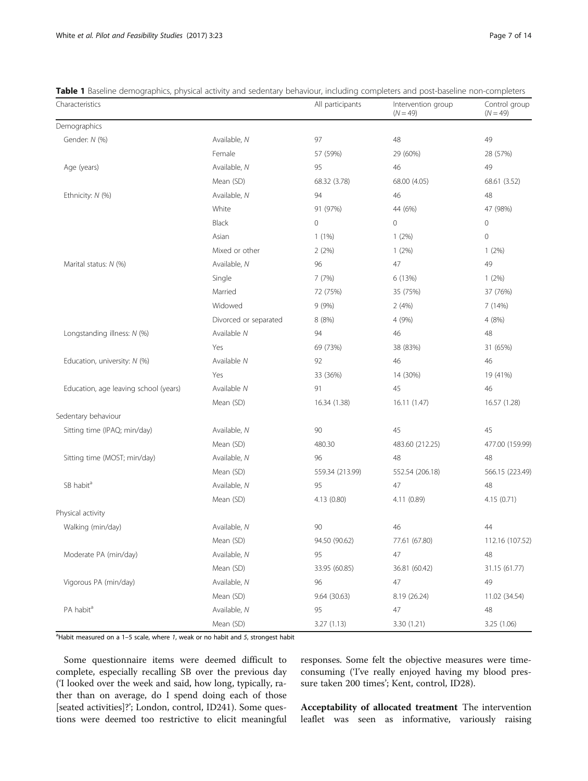<span id="page-6-0"></span>

|  |  | Table 1 Baseline demographics, physical activity and sedentary behaviour, including completers and post-baseline non-completers |  |  |  |  |  |  |
|--|--|---------------------------------------------------------------------------------------------------------------------------------|--|--|--|--|--|--|
|--|--|---------------------------------------------------------------------------------------------------------------------------------|--|--|--|--|--|--|

| Characteristics                       |                       | All participants | Intervention group<br>$(N = 49)$ | Control group<br>$(N = 49)$ |
|---------------------------------------|-----------------------|------------------|----------------------------------|-----------------------------|
| Demographics                          |                       |                  |                                  |                             |
| Gender: N (%)                         | Available, N          | 97               | 48                               | 49                          |
|                                       | Female                | 57 (59%)         | 29 (60%)                         | 28 (57%)                    |
| Age (years)                           | Available, N          | 95               | 46                               | 49                          |
|                                       | Mean (SD)             | 68.32 (3.78)     | 68.00 (4.05)                     | 68.61 (3.52)                |
| Ethnicity: N (%)                      | Available, N          | 94               | 46                               | 48                          |
|                                       | White                 | 91 (97%)         | 44 (6%)                          | 47 (98%)                    |
|                                       | Black                 | $\mathbf 0$      | $\mathbf 0$                      | $\mathsf{O}\xspace$         |
|                                       | Asian                 | $1(1\%)$         | 1(2%)                            | $\mathbf 0$                 |
|                                       | Mixed or other        | 2(2%)            | $1(2\%)$                         | 1(2%)                       |
| Marital status: N (%)                 | Available, N          | 96               | 47                               | 49                          |
|                                       | Single                | 7 (7%)           | 6 (13%)                          | 1(2%)                       |
|                                       | Married               | 72 (75%)         | 35 (75%)                         | 37 (76%)                    |
|                                       | Widowed               | 9(9%)            | 2(4%)                            | 7 (14%)                     |
|                                       | Divorced or separated | 8 (8%)           | 4 (9%)                           | 4 (8%)                      |
| Longstanding illness: N (%)           | Available N           | 94               | 46                               | 48                          |
|                                       | Yes                   | 69 (73%)         | 38 (83%)                         | 31 (65%)                    |
| Education, university: N (%)          | Available N           | 92               | 46                               | 46                          |
|                                       | Yes                   | 33 (36%)         | 14 (30%)                         | 19 (41%)                    |
| Education, age leaving school (years) | Available N           | 91               | 45                               | 46                          |
|                                       | Mean (SD)             | 16.34 (1.38)     | 16.11 (1.47)                     | 16.57 (1.28)                |
| Sedentary behaviour                   |                       |                  |                                  |                             |
| Sitting time (IPAQ; min/day)          | Available, N          | 90               | 45                               | 45                          |
|                                       | Mean (SD)             | 480.30           | 483.60 (212.25)                  | 477.00 (159.99)             |
| Sitting time (MOST; min/day)          | Available, N          | 96               | 48                               | 48                          |
|                                       | Mean (SD)             | 559.34 (213.99)  | 552.54 (206.18)                  | 566.15 (223.49)             |
| SB habit <sup>a</sup>                 | Available, N          | 95               | 47                               | 48                          |
|                                       | Mean (SD)             | 4.13 (0.80)      | 4.11(0.89)                       | 4.15 (0.71)                 |
| Physical activity                     |                       |                  |                                  |                             |
| Walking (min/day)                     | Available, N          | 90               | 46                               | 44                          |
|                                       | Mean (SD)             | 94.50 (90.62)    | 77.61 (67.80)                    | 112.16 (107.52)             |
| Moderate PA (min/day)                 | Available, N          | 95               | 47                               | 48                          |
|                                       | Mean (SD)             | 33.95 (60.85)    | 36.81 (60.42)                    | 31.15 (61.77)               |
| Vigorous PA (min/day)                 | Available, N          | 96               | $47\,$                           | 49                          |
|                                       | Mean (SD)             | 9.64 (30.63)     | 8.19 (26.24)                     | 11.02 (34.54)               |
| PA habit <sup>a</sup>                 | Available, N          | 95               | 47                               | 48                          |
|                                       | Mean (SD)             | 3.27(1.13)       | 3.30 (1.21)                      | 3.25 (1.06)                 |

<sup>a</sup>Habit measured on a 1–5 scale, where 1, weak or no habit and 5, strongest habit

Some questionnaire items were deemed difficult to complete, especially recalling SB over the previous day ('I looked over the week and said, how long, typically, rather than on average, do I spend doing each of those [seated activities]?'; London, control, ID241). Some questions were deemed too restrictive to elicit meaningful responses. Some felt the objective measures were timeconsuming ('I've really enjoyed having my blood pressure taken 200 times'; Kent, control, ID28).

Acceptability of allocated treatment The intervention leaflet was seen as informative, variously raising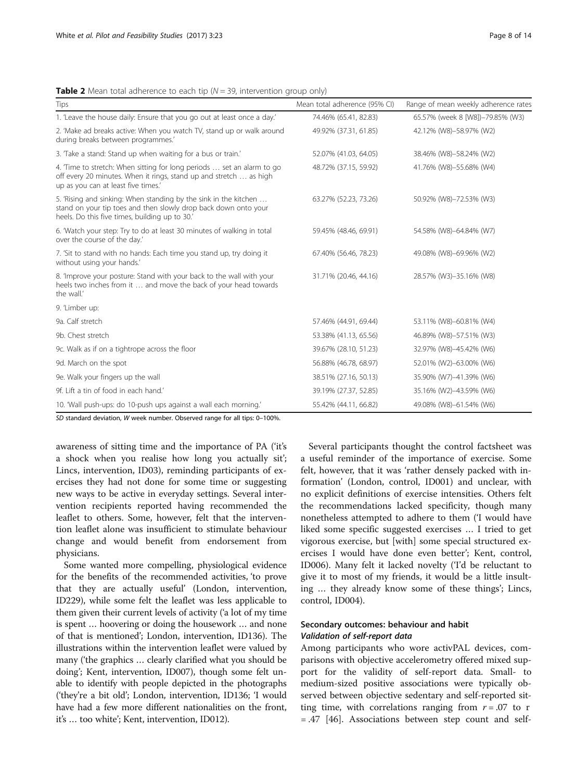<span id="page-7-0"></span>

| <b>Table 2</b> Mean total adherence to each tip ( $N = 39$ , intervention group only) |  |  |  |  |
|---------------------------------------------------------------------------------------|--|--|--|--|
|---------------------------------------------------------------------------------------|--|--|--|--|

| Tips                                                                                                                                                                                 | Mean total adherence (95% CI) | Range of mean weekly adherence rates |
|--------------------------------------------------------------------------------------------------------------------------------------------------------------------------------------|-------------------------------|--------------------------------------|
| 1. 'Leave the house daily: Ensure that you go out at least once a day.'                                                                                                              | 74.46% (65.41, 82.83)         | 65.57% (week 8 [W8])-79.85% (W3)     |
| 2. 'Make ad breaks active: When you watch TV, stand up or walk around<br>during breaks between programmes.'                                                                          | 49.92% (37.31, 61.85)         | 42.12% (W8)-58.97% (W2)              |
| 3. Take a stand: Stand up when waiting for a bus or train.'                                                                                                                          | 52.07% (41.03, 64.05)         | 38.46% (W8)-58.24% (W2)              |
| 4. Time to stretch: When sitting for long periods  set an alarm to go<br>off every 20 minutes. When it rings, stand up and stretch  as high<br>up as you can at least five times.'   | 48.72% (37.15, 59.92)         | 41.76% (W8)-55.68% (W4)              |
| 5. 'Rising and sinking: When standing by the sink in the kitchen<br>stand on your tip toes and then slowly drop back down onto your<br>heels. Do this five times, building up to 30. | 63.27% (52.23, 73.26)         | 50.92% (W8)-72.53% (W3)              |
| 6. Watch your step: Try to do at least 30 minutes of walking in total<br>over the course of the day.'                                                                                | 59.45% (48.46, 69.91)         | 54.58% (W8)-64.84% (W7)              |
| 7. 'Sit to stand with no hands: Each time you stand up, try doing it<br>without using your hands.'                                                                                   | 67.40% (56.46, 78.23)         | 49.08% (W8)-69.96% (W2)              |
| 8. 'Improve your posture: Stand with your back to the wall with your<br>heels two inches from it  and move the back of your head towards<br>the wall.'                               | 31.71% (20.46, 44.16)         | 28.57% (W3)-35.16% (W8)              |
| 9. 'Limber up:                                                                                                                                                                       |                               |                                      |
| 9a. Calf stretch                                                                                                                                                                     | 57.46% (44.91, 69.44)         | 53.11% (W8)-60.81% (W4)              |
| 9b. Chest stretch                                                                                                                                                                    | 53.38% (41.13, 65.56)         | 46.89% (W8)-57.51% (W3)              |
| 9c. Walk as if on a tightrope across the floor                                                                                                                                       | 39.67% (28.10, 51.23)         | 32.97% (W8)-45.42% (W6)              |
| 9d. March on the spot                                                                                                                                                                | 56.88% (46.78, 68.97)         | 52.01% (W2)-63.00% (W6)              |
| 9e. Walk your fingers up the wall                                                                                                                                                    | 38.51% (27.16, 50.13)         | 35.90% (W7)-41.39% (W6)              |
| 9f. Lift a tin of food in each hand.'                                                                                                                                                | 39.19% (27.37, 52.85)         | 35.16% (W2)-43.59% (W6)              |
| 10. 'Wall push-ups: do 10-push ups against a wall each morning.'                                                                                                                     | 55.42% (44.11, 66.82)         | 49.08% (W8)-61.54% (W6)              |

SD standard deviation, W week number. Observed range for all tips: 0–100%.

awareness of sitting time and the importance of PA ('it's a shock when you realise how long you actually sit'; Lincs, intervention, ID03), reminding participants of exercises they had not done for some time or suggesting new ways to be active in everyday settings. Several intervention recipients reported having recommended the leaflet to others. Some, however, felt that the intervention leaflet alone was insufficient to stimulate behaviour change and would benefit from endorsement from physicians.

Some wanted more compelling, physiological evidence for the benefits of the recommended activities, 'to prove that they are actually useful' (London, intervention, ID229), while some felt the leaflet was less applicable to them given their current levels of activity ('a lot of my time is spent … hoovering or doing the housework … and none of that is mentioned'; London, intervention, ID136). The illustrations within the intervention leaflet were valued by many ('the graphics … clearly clarified what you should be doing'; Kent, intervention, ID007), though some felt unable to identify with people depicted in the photographs ('they're a bit old'; London, intervention, ID136; 'I would have had a few more different nationalities on the front, it's … too white'; Kent, intervention, ID012).

Several participants thought the control factsheet was a useful reminder of the importance of exercise. Some felt, however, that it was 'rather densely packed with information' (London, control, ID001) and unclear, with no explicit definitions of exercise intensities. Others felt the recommendations lacked specificity, though many nonetheless attempted to adhere to them ('I would have liked some specific suggested exercises … I tried to get vigorous exercise, but [with] some special structured exercises I would have done even better'; Kent, control, ID006). Many felt it lacked novelty ('I'd be reluctant to give it to most of my friends, it would be a little insulting … they already know some of these things'; Lincs, control, ID004).

# Secondary outcomes: behaviour and habit Validation of self-report data

Among participants who wore activPAL devices, comparisons with objective accelerometry offered mixed support for the validity of self-report data. Small- to medium-sized positive associations were typically observed between objective sedentary and self-reported sitting time, with correlations ranging from  $r = .07$  to r = .47 [\[46\]](#page-13-0). Associations between step count and self-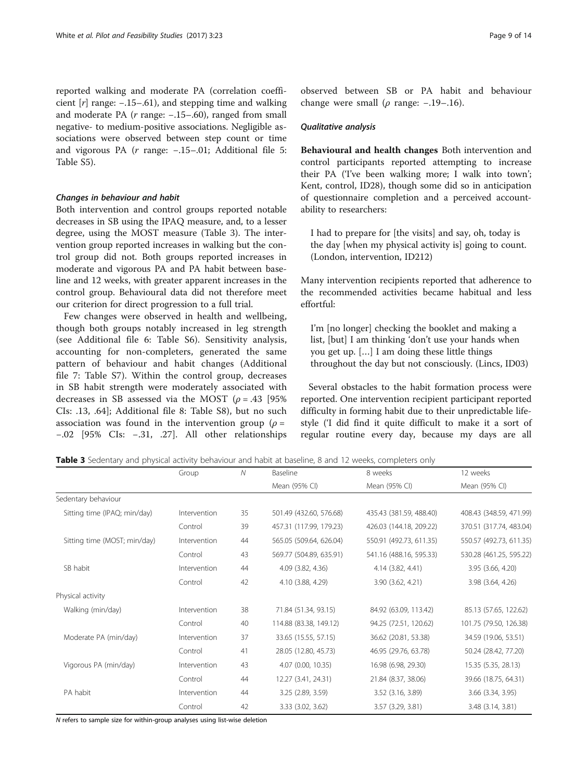reported walking and moderate PA (correlation coefficient [r] range: −.15–.61), and stepping time and walking and moderate PA (r range: −.15–.60), ranged from small negative- to medium-positive associations. Negligible associations were observed between step count or time and vigorous PA (r range: −.15–.01; Additional file [5](#page-11-0): Table S5).

# Changes in behaviour and habit

Both intervention and control groups reported notable decreases in SB using the IPAQ measure, and, to a lesser degree, using the MOST measure (Table 3). The intervention group reported increases in walking but the control group did not. Both groups reported increases in moderate and vigorous PA and PA habit between baseline and 12 weeks, with greater apparent increases in the control group. Behavioural data did not therefore meet our criterion for direct progression to a full trial.

Few changes were observed in health and wellbeing, though both groups notably increased in leg strength (see Additional file [6](#page-11-0): Table S6). Sensitivity analysis, accounting for non-completers, generated the same pattern of behaviour and habit changes (Additional file [7](#page-11-0): Table S7). Within the control group, decreases in SB habit strength were moderately associated with decreases in SB assessed via the MOST ( $\rho = .43$  [95%] CIs: .13, .64]; Additional file [8:](#page-11-0) Table S8), but no such association was found in the intervention group ( $\rho =$ −.02 [95% CIs: −.31, .27]. All other relationships

observed between SB or PA habit and behaviour change were small ( $\rho$  range: -.19-.16).

## Qualitative analysis

Behavioural and health changes Both intervention and control participants reported attempting to increase their PA ('I've been walking more; I walk into town'; Kent, control, ID28), though some did so in anticipation of questionnaire completion and a perceived accountability to researchers:

I had to prepare for [the visits] and say, oh, today is the day [when my physical activity is] going to count. (London, intervention, ID212)

Many intervention recipients reported that adherence to the recommended activities became habitual and less effortful:

I'm [no longer] checking the booklet and making a list, [but] I am thinking 'don't use your hands when you get up. […] I am doing these little things throughout the day but not consciously. (Lincs, ID03)

Several obstacles to the habit formation process were reported. One intervention recipient participant reported difficulty in forming habit due to their unpredictable lifestyle ('I did find it quite difficult to make it a sort of regular routine every day, because my days are all

|  | Table 3 Sedentary and physical activity behaviour and habit at baseline, 8 and 12 weeks, completers only |  |
|--|----------------------------------------------------------------------------------------------------------|--|
|--|----------------------------------------------------------------------------------------------------------|--|

|                              | Group        | $\mathcal N$ | Baseline                | 8 weeks                 | 12 weeks                |  |
|------------------------------|--------------|--------------|-------------------------|-------------------------|-------------------------|--|
|                              |              |              | Mean (95% CI)           | Mean (95% CI)           | Mean (95% CI)           |  |
| Sedentary behaviour          |              |              |                         |                         |                         |  |
| Sitting time (IPAQ; min/day) | Intervention | 35           | 501.49 (432.60, 576.68) | 435.43 (381.59, 488.40) | 408.43 (348.59, 471.99) |  |
|                              | Control      | 39           | 457.31 (117.99, 179.23) | 426.03 (144.18, 209.22) | 370.51 (317.74, 483.04) |  |
| Sitting time (MOST; min/day) | Intervention | 44           | 565.05 (509.64, 626.04) | 550.91 (492.73, 611.35) | 550.57 (492.73, 611.35) |  |
|                              | Control      | 43           | 569.77 (504.89, 635.91) | 541.16 (488.16, 595.33) | 530.28 (461.25, 595.22) |  |
| SB habit                     | Intervention | 44           | 4.09 (3.82, 4.36)       | 4.14 (3.82, 4.41)       | 3.95 (3.66, 4.20)       |  |
|                              | Control      | 42           | 4.10 (3.88, 4.29)       | 3.90 (3.62, 4.21)       | 3.98 (3.64, 4.26)       |  |
| Physical activity            |              |              |                         |                         |                         |  |
| Walking (min/day)            | Intervention | 38           | 71.84 (51.34, 93.15)    | 84.92 (63.09, 113.42)   | 85.13 (57.65, 122.62)   |  |
|                              | Control      | 40           | 114.88 (83.38, 149.12)  | 94.25 (72.51, 120.62)   | 101.75 (79.50, 126.38)  |  |
| Moderate PA (min/day)        | Intervention | 37           | 33.65 (15.55, 57.15)    | 36.62 (20.81, 53.38)    | 34.59 (19.06, 53.51)    |  |
|                              | Control      | 41           | 28.05 (12.80, 45.73)    | 46.95 (29.76, 63.78)    | 50.24 (28.42, 77.20)    |  |
| Vigorous PA (min/day)        | Intervention | 43           | 4.07 (0.00, 10.35)      | 16.98 (6.98, 29.30)     | 15.35 (5.35, 28.13)     |  |
|                              | Control      | 44           | 12.27 (3.41, 24.31)     | 21.84 (8.37, 38.06)     | 39.66 (18.75, 64.31)    |  |
| PA habit                     | Intervention | 44           | 3.25 (2.89, 3.59)       | 3.52 (3.16, 3.89)       | 3.66 (3.34, 3.95)       |  |
|                              | Control      | 42           | 3.33 (3.02, 3.62)       | 3.57(3.29, 3.81)        | 3.48 (3.14, 3.81)       |  |

N refers to sample size for within-group analyses using list-wise deletion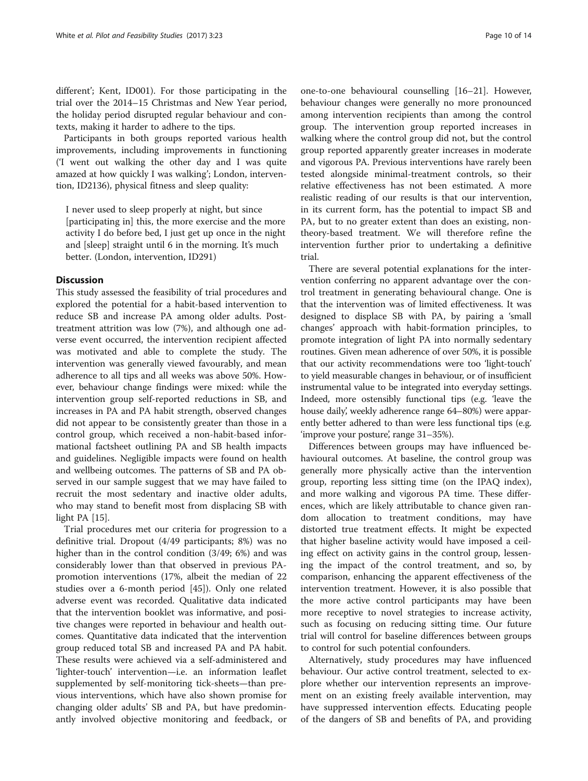different'; Kent, ID001). For those participating in the trial over the 2014–15 Christmas and New Year period, the holiday period disrupted regular behaviour and contexts, making it harder to adhere to the tips.

Participants in both groups reported various health improvements, including improvements in functioning ('I went out walking the other day and I was quite amazed at how quickly I was walking'; London, intervention, ID2136), physical fitness and sleep quality:

I never used to sleep properly at night, but since [participating in] this, the more exercise and the more activity I do before bed, I just get up once in the night and [sleep] straight until 6 in the morning. It's much better. (London, intervention, ID291)

# **Discussion**

This study assessed the feasibility of trial procedures and explored the potential for a habit-based intervention to reduce SB and increase PA among older adults. Posttreatment attrition was low (7%), and although one adverse event occurred, the intervention recipient affected was motivated and able to complete the study. The intervention was generally viewed favourably, and mean adherence to all tips and all weeks was above 50%. However, behaviour change findings were mixed: while the intervention group self-reported reductions in SB, and increases in PA and PA habit strength, observed changes did not appear to be consistently greater than those in a control group, which received a non-habit-based informational factsheet outlining PA and SB health impacts and guidelines. Negligible impacts were found on health and wellbeing outcomes. The patterns of SB and PA observed in our sample suggest that we may have failed to recruit the most sedentary and inactive older adults, who may stand to benefit most from displacing SB with light PA [\[15\]](#page-12-0).

Trial procedures met our criteria for progression to a definitive trial. Dropout (4/49 participants; 8%) was no higher than in the control condition (3/49; 6%) and was considerably lower than that observed in previous PApromotion interventions (17%, albeit the median of 22 studies over a 6-month period [\[45](#page-13-0)]). Only one related adverse event was recorded. Qualitative data indicated that the intervention booklet was informative, and positive changes were reported in behaviour and health outcomes. Quantitative data indicated that the intervention group reduced total SB and increased PA and PA habit. These results were achieved via a self-administered and 'lighter-touch' intervention—i.e. an information leaflet supplemented by self-monitoring tick-sheets—than previous interventions, which have also shown promise for changing older adults' SB and PA, but have predominantly involved objective monitoring and feedback, or

one-to-one behavioural counselling [[16](#page-12-0)–[21](#page-12-0)]. However, behaviour changes were generally no more pronounced among intervention recipients than among the control group. The intervention group reported increases in walking where the control group did not, but the control group reported apparently greater increases in moderate and vigorous PA. Previous interventions have rarely been tested alongside minimal-treatment controls, so their relative effectiveness has not been estimated. A more realistic reading of our results is that our intervention, in its current form, has the potential to impact SB and PA, but to no greater extent than does an existing, nontheory-based treatment. We will therefore refine the intervention further prior to undertaking a definitive trial.

There are several potential explanations for the intervention conferring no apparent advantage over the control treatment in generating behavioural change. One is that the intervention was of limited effectiveness. It was designed to displace SB with PA, by pairing a 'small changes' approach with habit-formation principles, to promote integration of light PA into normally sedentary routines. Given mean adherence of over 50%, it is possible that our activity recommendations were too 'light-touch' to yield measurable changes in behaviour, or of insufficient instrumental value to be integrated into everyday settings. Indeed, more ostensibly functional tips (e.g. 'leave the house daily', weekly adherence range 64–80%) were apparently better adhered to than were less functional tips (e.g. 'improve your posture', range 31–35%).

Differences between groups may have influenced behavioural outcomes. At baseline, the control group was generally more physically active than the intervention group, reporting less sitting time (on the IPAQ index), and more walking and vigorous PA time. These differences, which are likely attributable to chance given random allocation to treatment conditions, may have distorted true treatment effects. It might be expected that higher baseline activity would have imposed a ceiling effect on activity gains in the control group, lessening the impact of the control treatment, and so, by comparison, enhancing the apparent effectiveness of the intervention treatment. However, it is also possible that the more active control participants may have been more receptive to novel strategies to increase activity, such as focusing on reducing sitting time. Our future trial will control for baseline differences between groups to control for such potential confounders.

Alternatively, study procedures may have influenced behaviour. Our active control treatment, selected to explore whether our intervention represents an improvement on an existing freely available intervention, may have suppressed intervention effects. Educating people of the dangers of SB and benefits of PA, and providing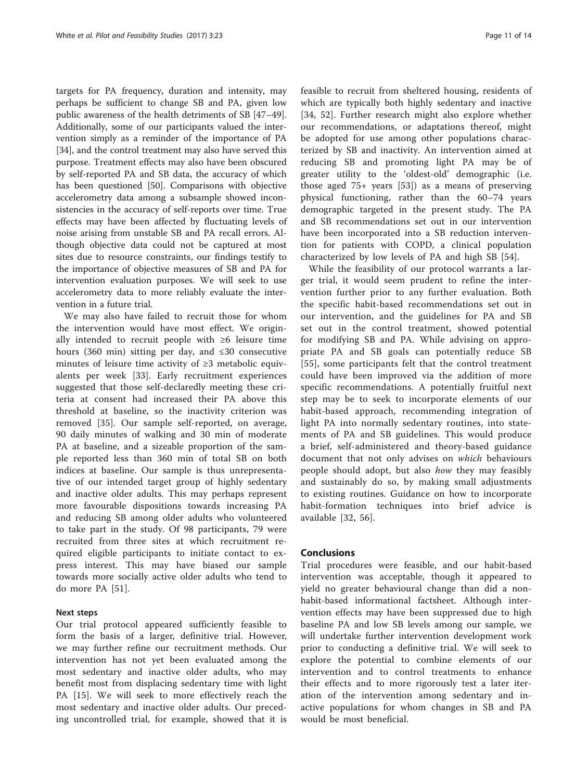targets for PA frequency, duration and intensity, may perhaps be sufficient to change SB and PA, given low public awareness of the health detriments of SB [[47](#page-13-0)–[49](#page-13-0)]. Additionally, some of our participants valued the intervention simply as a reminder of the importance of PA [[34\]](#page-12-0), and the control treatment may also have served this purpose. Treatment effects may also have been obscured by self-reported PA and SB data, the accuracy of which has been questioned [\[50](#page-13-0)]. Comparisons with objective accelerometry data among a subsample showed inconsistencies in the accuracy of self-reports over time. True effects may have been affected by fluctuating levels of noise arising from unstable SB and PA recall errors. Although objective data could not be captured at most sites due to resource constraints, our findings testify to the importance of objective measures of SB and PA for intervention evaluation purposes. We will seek to use accelerometry data to more reliably evaluate the intervention in a future trial.

We may also have failed to recruit those for whom the intervention would have most effect. We originally intended to recruit people with  $\geq 6$  leisure time hours (360 min) sitting per day, and ≤30 consecutive minutes of leisure time activity of  $\geq 3$  metabolic equivalents per week [\[33](#page-12-0)]. Early recruitment experiences suggested that those self-declaredly meeting these criteria at consent had increased their PA above this threshold at baseline, so the inactivity criterion was removed [[35\]](#page-12-0). Our sample self-reported, on average, 90 daily minutes of walking and 30 min of moderate PA at baseline, and a sizeable proportion of the sample reported less than 360 min of total SB on both indices at baseline. Our sample is thus unrepresentative of our intended target group of highly sedentary and inactive older adults. This may perhaps represent more favourable dispositions towards increasing PA and reducing SB among older adults who volunteered to take part in the study. Of 98 participants, 79 were recruited from three sites at which recruitment required eligible participants to initiate contact to express interest. This may have biased our sample towards more socially active older adults who tend to do more PA [[51](#page-13-0)].

# Next steps

Our trial protocol appeared sufficiently feasible to form the basis of a larger, definitive trial. However, we may further refine our recruitment methods. Our intervention has not yet been evaluated among the most sedentary and inactive older adults, who may benefit most from displacing sedentary time with light PA [\[15](#page-12-0)]. We will seek to more effectively reach the most sedentary and inactive older adults. Our preceding uncontrolled trial, for example, showed that it is feasible to recruit from sheltered housing, residents of which are typically both highly sedentary and inactive [[34,](#page-12-0) [52\]](#page-13-0). Further research might also explore whether our recommendations, or adaptations thereof, might be adopted for use among other populations characterized by SB and inactivity. An intervention aimed at reducing SB and promoting light PA may be of greater utility to the 'oldest-old' demographic (i.e. those aged 75+ years [[53](#page-13-0)]) as a means of preserving physical functioning, rather than the 60–74 years demographic targeted in the present study. The PA and SB recommendations set out in our intervention have been incorporated into a SB reduction intervention for patients with COPD, a clinical population characterized by low levels of PA and high SB [[54\]](#page-13-0).

While the feasibility of our protocol warrants a larger trial, it would seem prudent to refine the intervention further prior to any further evaluation. Both the specific habit-based recommendations set out in our intervention, and the guidelines for PA and SB set out in the control treatment, showed potential for modifying SB and PA. While advising on appropriate PA and SB goals can potentially reduce SB [[55](#page-13-0)], some participants felt that the control treatment could have been improved via the addition of more specific recommendations. A potentially fruitful next step may be to seek to incorporate elements of our habit-based approach, recommending integration of light PA into normally sedentary routines, into statements of PA and SB guidelines. This would produce a brief, self-administered and theory-based guidance document that not only advises on which behaviours people should adopt, but also how they may feasibly and sustainably do so, by making small adjustments to existing routines. Guidance on how to incorporate habit-formation techniques into brief advice is available [[32](#page-12-0), [56\]](#page-13-0).

# Conclusions

Trial procedures were feasible, and our habit-based intervention was acceptable, though it appeared to yield no greater behavioural change than did a nonhabit-based informational factsheet. Although intervention effects may have been suppressed due to high baseline PA and low SB levels among our sample, we will undertake further intervention development work prior to conducting a definitive trial. We will seek to explore the potential to combine elements of our intervention and to control treatments to enhance their effects and to more rigorously test a later iteration of the intervention among sedentary and inactive populations for whom changes in SB and PA would be most beneficial.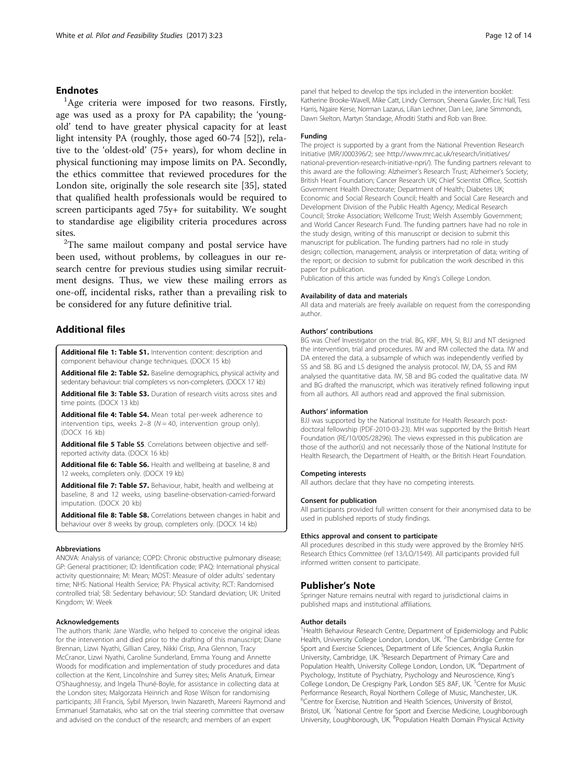# <span id="page-11-0"></span>**Endnotes**

 ${}^{1}$ Age criteria were imposed for two reasons. Firstly, age was used as a proxy for PA capability; the 'youngold' tend to have greater physical capacity for at least light intensity PA (roughly, those aged 60-74 [52]), relative to the 'oldest-old' (75+ years), for whom decline in physical functioning may impose limits on PA. Secondly, the ethics committee that reviewed procedures for the London site, originally the sole research site [35], stated that qualified health professionals would be required to screen participants aged 75y+ for suitability. We sought to standardise age eligibility criteria procedures across sites.

 $2$ The same mailout company and postal service have been used, without problems, by colleagues in our research centre for previous studies using similar recruitment designs. Thus, we view these mailing errors as one-off, incidental risks, rather than a prevailing risk to be considered for any future definitive trial.

# Additional files

[Additional file 1: Table S1.](dx.doi.org/10.1186/s40814-017-0139-6) Intervention content: description and component behaviour change techniques. (DOCX 15 kb)

[Additional file 2: Table S2.](dx.doi.org/10.1186/s40814-017-0139-6) Baseline demographics, physical activity and sedentary behaviour: trial completers vs non-completers. (DOCX 17 kb)

[Additional file 3: Table S3.](dx.doi.org/10.1186/s40814-017-0139-6) Duration of research visits across sites and time points. (DOCX 13 kb)

[Additional file 4: Table S4.](dx.doi.org/10.1186/s40814-017-0139-6) Mean total per-week adherence to intervention tips, weeks  $2-8$  ( $N = 40$ , intervention group only). (DOCX 16 kb)

[Additional file 5](dx.doi.org/10.1186/s40814-017-0139-6) Table S5. Correlations between objective and selfreported activity data. (DOCX 16 kb)

[Additional file 6: Table S6.](dx.doi.org/10.1186/s40814-017-0139-6) Health and wellbeing at baseline, 8 and 12 weeks, completers only. (DOCX 19 kb)

[Additional file 7: Table S7.](dx.doi.org/10.1186/s40814-017-0139-6) Behaviour, habit, health and wellbeing at baseline, 8 and 12 weeks, using baseline-observation-carried-forward imputation. (DOCX 20 kb)

[Additional file 8: Table S8.](dx.doi.org/10.1186/s40814-017-0139-6) Correlations between changes in habit and behaviour over 8 weeks by group, completers only. (DOCX 14 kb)

#### Abbreviations

ANOVA: Analysis of variance; COPD: Chronic obstructive pulmonary disease; GP: General practitioner; ID: Identification code; IPAQ: International physical activity questionnaire; M: Mean; MOST: Measure of older adults' sedentary time; NHS: National Health Service; PA: Physical activity; RCT: Randomised controlled trial; SB: Sedentary behaviour; SD: Standard deviation; UK: United Kingdom; W: Week

#### Acknowledgements

The authors thank: Jane Wardle, who helped to conceive the original ideas for the intervention and died prior to the drafting of this manuscript; Diane Brennan, Lizwi Nyathi, Gillian Carey, Nikki Crisp, Ana Glennon, Tracy McCranor, Lizwi Nyathi, Caroline Sunderland, Emma Young and Annette Woods for modification and implementation of study procedures and data collection at the Kent, Lincolnshire and Surrey sites; Melis Anaturk, Eimear O'Shaughnessy, and Ingela Thuné-Boyle, for assistance in collecting data at the London sites; Malgorzata Heinrich and Rose Wilson for randomising participants; Jill Francis, Sybil Myerson, Irwin Nazareth, Mareeni Raymond and Emmanuel Stamatakis, who sat on the trial steering committee that oversaw and advised on the conduct of the research; and members of an expert

panel that helped to develop the tips included in the intervention booklet: Katherine Brooke-Wavell, Mike Catt, Lindy Clemson, Sheena Gawler, Eric Hall, Tess Harris, Ngaire Kerse, Norman Lazarus, Lilian Lechner, Dan Lee, Jane Simmonds, Dawn Skelton, Martyn Standage, Afroditi Stathi and Rob van Bree.

#### Funding

The project is supported by a grant from the National Prevention Research Initiative (MR/J000396/2; see [http://www.mrc.ac.uk/research/initiatives/](http://www.mrc.ac.uk/research/initiatives/national-prevention-research-initiative-npri/) [national-prevention-research-initiative-npri/\)](http://www.mrc.ac.uk/research/initiatives/national-prevention-research-initiative-npri/). The funding partners relevant to this award are the following: Alzheimer's Research Trust; Alzheimer's Society; British Heart Foundation; Cancer Research UK; Chief Scientist Office, Scottish Government Health Directorate; Department of Health; Diabetes UK; Economic and Social Research Council; Health and Social Care Research and Development Division of the Public Health Agency; Medical Research Council; Stroke Association; Wellcome Trust; Welsh Assembly Government; and World Cancer Research Fund. The funding partners have had no role in the study design, writing of this manuscript or decision to submit this manuscript for publication. The funding partners had no role in study design; collection, management, analysis or interpretation of data; writing of the report; or decision to submit for publication the work described in this paper for publication.

Publication of this article was funded by King's College London.

#### Availability of data and materials

All data and materials are freely available on request from the corresponding author.

#### Authors' contributions

BG was Chief Investigator on the trial. BG, KRF, MH, SI, BJJ and NT designed the intervention, trial and procedures. IW and RM collected the data. IW and DA entered the data, a subsample of which was independently verified by SS and SB. BG and LS designed the analysis protocol. IW, DA, SS and RM analysed the quantitative data. IW, SB and BG coded the qualitative data. IW and BG drafted the manuscript, which was iteratively refined following input from all authors. All authors read and approved the final submission.

#### Authors' information

BJJ was supported by the National Institute for Health Research postdoctoral fellowship (PDF-2010-03-23). MH was supported by the British Heart Foundation (RE/10/005/28296). The views expressed in this publication are those of the author(s) and not necessarily those of the National Institute for Health Research, the Department of Health, or the British Heart Foundation.

#### Competing interests

All authors declare that they have no competing interests.

#### Consent for publication

All participants provided full written consent for their anonymised data to be used in published reports of study findings.

#### Ethics approval and consent to participate

All procedures described in this study were approved by the Bromley NHS Research Ethics Committee (ref 13/LO/1549). All participants provided full informed written consent to participate.

# Publisher's Note

Springer Nature remains neutral with regard to jurisdictional claims in published maps and institutional affiliations.

#### Author details

<sup>1</sup> Health Behaviour Research Centre, Department of Epidemiology and Public Health, University College London, London, UK.<sup>2</sup>The Cambridge Centre for Sport and Exercise Sciences, Department of Life Sciences, Anglia Ruskin University, Cambridge, UK.<sup>3</sup> Research Department of Primary Care and Population Health, University College London, London, UK. <sup>4</sup>Department of Psychology, Institute of Psychiatry, Psychology and Neuroscience, King's College London, De Crespigny Park, London SE5 8AF, UK. <sup>5</sup>Centre for Music Performance Research, Royal Northern College of Music, Manchester, UK. 6 Centre for Exercise, Nutrition and Health Sciences, University of Bristol, Bristol, UK. <sup>7</sup>National Centre for Sport and Exercise Medicine, Loughborough University, Loughborough, UK. <sup>8</sup> Population Health Domain Physical Activity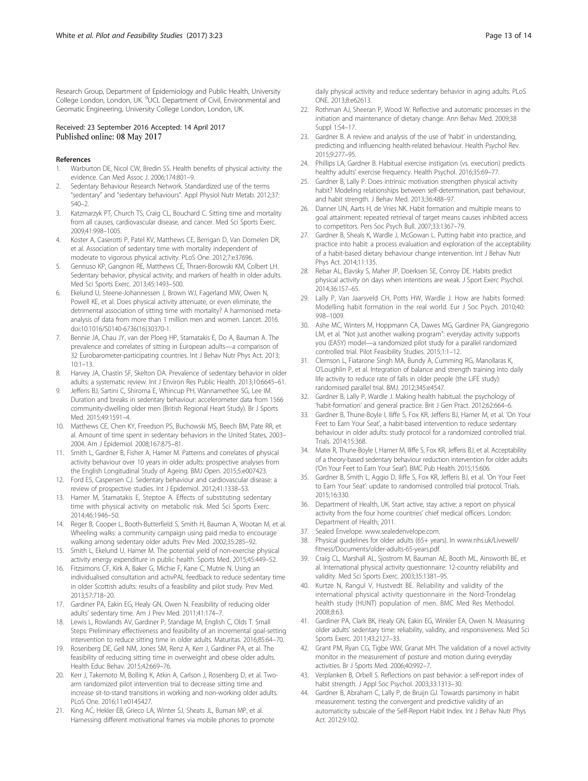<span id="page-12-0"></span>Research Group, Department of Epidemiology and Public Health, University College London, London, UK. <sup>9</sup>UCL Department of Civil, Environmental and Geomatic Engineering, University College London, London, UK.

# Received: 23 September 2016 Accepted: 14 April 2017 Published online: 08 May 2017

#### References

- 1. Warburton DE, Nicol CW, Bredin SS. Health benefits of physical activity: the evidence. Can Med Assoc J. 2006;174:801–9.
- Sedentary Behaviour Research Network. Standardized use of the terms "sedentary" and "sedentary behaviours". Appl Physiol Nutr Metab. 2012;37: 540–2.
- Katzmarzyk PT, Church TS, Craig CL, Bouchard C. Sitting time and mortality from all causes, cardiovascular disease, and cancer. Med Sci Sports Exerc. 2009;41:998–1005.
- 4. Koster A, Caserotti P, Patel KV, Matthews CE, Berrigan D, Van Domelen DR, et al. Association of sedentary time with mortality independent of moderate to vigorous physical activity. PLoS One. 2012;7:e37696.
- 5. Gennuso KP, Gangnon RE, Matthews CE, Thraen-Borowski KM, Colbert LH. Sedentary behavior, physical activity, and markers of health in older adults. Med Sci Sports Exerc. 2013;45:1493–500.
- 6. Ekelund U, Steene-Johannessen J, Brown WJ, Fagerland MW, Owen N, Powell KE, et al. Does physical activity attenuate, or even eliminate, the detrimental association of sitting time with mortality? A harmonised metaanalysis of data from more than 1 million men and women. Lancet. 2016. doi[:10.1016/S0140-6736\(16\)30370-1.](http://dx.doi.org/10.1016/S0140-6736(16)30370-1)
- 7. Bennie JA, Chau JY, van der Ploeg HP, Stamatakis E, Do A, Bauman A. The prevalence and correlates of sitting in European adults—a comparison of 32 Eurobarometer-participating countries. Int J Behav Nutr Phys Act. 2013; 10:1–13.
- 8. Harvey JA, Chastin SF, Skelton DA. Prevalence of sedentary behavior in older adults: a systematic review. Int J Environ Res Public Health. 2013;10:6645–61.
- Jefferis BJ, Sartini C, Shiroma E, Whincup PH, Wannamethee SG, Lee IM. Duration and breaks in sedentary behaviour: accelerometer data from 1566 community-dwelling older men (British Regional Heart Study). Br J Sports Med. 2015;49:1591–4.
- 10. Matthews CE, Chen KY, Freedson PS, Buchowski MS, Beech BM, Pate RR, et al. Amount of time spent in sedentary behaviors in the United States, 2003– 2004. Am J Epidemiol. 2008;167:875–81.
- 11. Smith L, Gardner B, Fisher A, Hamer M. Patterns and correlates of physical activity behaviour over 10 years in older adults: prospective analyses from the English Longitudinal Study of Ageing. BMJ Open. 2015;5:e007423.
- 12. Ford ES, Caspersen CJ. Sedentary behaviour and cardiovascular disease: a review of prospective studies. Int J Epidemiol. 2012;41:1338–53.
- 13. Hamer M, Stamatakis E, Steptoe A. Effects of substituting sedentary time with physical activity on metabolic risk. Med Sci Sports Exerc. 2014;46:1946–50.
- 14. Reger B, Cooper L, Booth-Butterfield S, Smith H, Bauman A, Wootan M, et al. Wheeling walks: a community campaign using paid media to encourage walking among sedentary older adults. Prev Med. 2002;35:285–92.
- 15. Smith L, Ekelund U, Hamer M. The potential yield of non-exercise physical activity energy expenditure in public health. Sports Med. 2015;45:449–52.
- 16. Fitzsimons CF, Kirk A, Baker G, Michie F, Kane C, Mutrie N. Using an individualised consultation and activPAL feedback to reduce sedentary time in older Scottish adults: results of a feasibility and pilot study. Prev Med. 2013;57:718–20.
- 17. Gardiner PA, Eakin EG, Healy GN, Owen N. Feasibility of reducing older adults' sedentary time. Am J Prev Med. 2011;41:174–7.
- 18. Lewis L, Rowlands AV, Gardiner P, Standage M, English C, Olds T. Small Steps: Preliminary effectiveness and feasibility of an incremental goal-setting intervention to reduce sitting time in older adults. Maturitas. 2016;85:64–70.
- 19. Rosenberg DE, Gell NM, Jones SM, Renz A, Kerr J, Gardiner PA, et al. The feasibility of reducing sitting time in overweight and obese older adults. Health Educ Behav. 2015;42:669–76.
- 20. Kerr J, Takemoto M, Bolling K, Atkin A, Carlson J, Rosenberg D, et al. Twoarm randomized pilot intervention trial to decrease sitting time and increase sit-to-stand transitions in working and non-working older adults. PLoS One. 2016;11:e0145427.
- 21. King AC, Hekler EB, Grieco LA, Winter SJ, Sheats JL, Buman MP, et al. Harnessing different motivational frames via mobile phones to promote

daily physical activity and reduce sedentary behavior in aging adults. PLoS ONE. 2013;8:e62613.

- 22. Rothman AJ, Sheeran P, Wood W. Reflective and automatic processes in the initiation and maintenance of dietary change. Ann Behav Med. 2009;38 Suppl 1:S4–17.
- 23. Gardner B. A review and analysis of the use of 'habit' in understanding, predicting and influencing health-related behaviour. Health Psychol Rev. 2015;9:277–95.
- 24. Phillips LA, Gardner B. Habitual exercise instigation (vs. execution) predicts healthy adults' exercise frequency. Health Psychol. 2016;35:69–77.
- 25. Gardner B, Lally P. Does intrinsic motivation strengthen physical activity habit? Modeling relationships between self-determination, past behaviour, and habit strength. J Behav Med. 2013;36:488–97.
- 26. Danner UN, Aarts H, de Vries NK. Habit formation and multiple means to goal attainment: repeated retrieval of target means causes inhibited access to competitors. Pers Soc Psych Bull. 2007;33:1367–79.
- 27. Gardner B, Sheals K, Wardle J, McGowan L. Putting habit into practice, and practice into habit: a process evaluation and exploration of the acceptability of a habit-based dietary behaviour change intervention. Int J Behav Nutr Phys Act. 2014;11:135.
- 28. Rebar AL, Elavsky S, Maher JP, Doerksen SE, Conroy DE. Habits predict physical activity on days when intentions are weak. J Sport Exerc Psychol. 2014;36:157–65.
- 29. Lally P, Van Jaarsveld CH, Potts HW, Wardle J. How are habits formed: Modelling habit formation in the real world. Eur J Soc Psych. 2010;40: 998–1009.
- 30. Ashe MC, Winters M, Hoppmann CA, Dawes MG, Gardiner PA, Giangregorio LM, et al. "Not just another walking program": everyday activity supports you (EASY) model—a randomized pilot study for a parallel randomized controlled trial. Pilot Feasibility Studies. 2015;1:1–12.
- 31. Clemson L, Fiatarone Singh MA, Bundy A, Cumming RG, Manollaras K, O'Loughlin P, et al. Integration of balance and strength training into daily life activity to reduce rate of falls in older people (the LiFE study): randomised parallel trial. BMJ. 2012;345:e4547.
- 32. Gardner B, Lally P, Wardle J. Making health habitual: the psychology of 'habit-formation' and general practice. Brit J Gen Pract. 2012;62:664–6.
- 33. Gardner B, Thune-Boyle I, Iliffe S, Fox KR, Jefferis BJ, Hamer M, et al. 'On Your Feet to Earn Your Seat', a habit-based intervention to reduce sedentary behaviour in older adults: study protocol for a randomized controlled trial. Trials. 2014;15:368.
- 34. Matei R, Thune-Boyle I, Hamer M, Iliffe S, Fox KR, Jefferis BJ, et al. Acceptability of a theory-based sedentary behaviour reduction intervention for older adults ('On Your Feet to Earn Your Seat'). BMC Pub Health. 2015;15:606.
- 35. Gardner B, Smith L, Aggio D, Iliffe S, Fox KR, Jefferis BJ, et al. 'On Your Feet to Earn Your Seat': update to randomised controlled trial protocol. Trials. 2015;16:330.
- 36. Department of Health, UK. Start active, stay active: a report on physical activity from the four home countries' chief medical officers. London: Department of Health; 2011.
- 37. Sealed Envelope. [www.sealedenvelope.com.](http://www.sealedenvelope.com/)
- 38. Physical guidelines for older adults (65+ years). In [www.nhs.uk/Livewell/](http://www.nhs.uk/Livewell/fitness/Documents/older-adults-65-years.pdf) [fitness/Documents/older-adults-65-years.pdf](http://www.nhs.uk/Livewell/fitness/Documents/older-adults-65-years.pdf).
- 39. Craig CL, Marshall AL, Sjostrom M, Bauman AE, Booth ML, Ainsworth BE, et al. International physical activity questionnaire: 12-country reliability and validity. Med Sci Sports Exerc. 2003;35:1381–95.
- 40. Kurtze N, Rangul V, Hustvedt BE. Reliability and validity of the international physical activity questionnaire in the Nord-Trondelag health study (HUNT) population of men. BMC Med Res Methodol. 2008;8:63.
- 41. Gardiner PA, Clark BK, Healy GN, Eakin EG, Winkler EA, Owen N. Measuring older adults' sedentary time: reliability, validity, and responsiveness. Med Sci Sports Exerc. 2011;43:2127–33.
- 42. Grant PM, Ryan CG, Tigbe WW, Granat MH. The validation of a novel activity monitor in the measurement of posture and motion during everyday activities. Br J Sports Med. 2006;40:992–7.
- 43. Verplanken B, Orbell S. Reflections on past behavior: a self-report index of habit strength. J Appl Soc Psychol. 2003;33:1313–30.
- 44. Gardner B, Abraham C, Lally P, de Bruijn GJ. Towards parsimony in habit measurement: testing the convergent and predictive validity of an automaticity subscale of the Self-Report Habit Index. Int J Behav Nutr Phys Act. 2012;9:102.